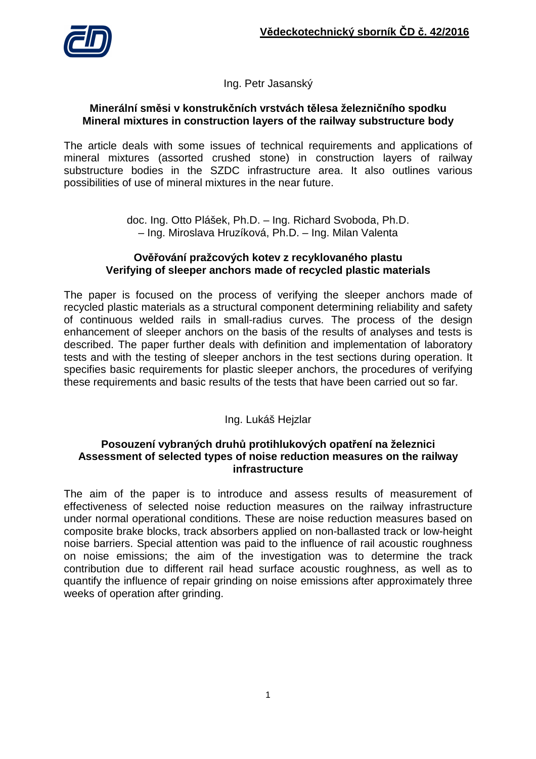

Ing. Petr Jasanský

### **Minerální směsi v konstrukčních vrstvách tělesa železničního spodku Mineral mixtures in construction layers of the railway substructure body**

The article deals with some issues of technical requirements and applications of mineral mixtures (assorted crushed stone) in construction layers of railway substructure bodies in the SZDC infrastructure area. It also outlines various possibilities of use of mineral mixtures in the near future.

> doc. Ing. Otto Plášek, Ph.D. – Ing. Richard Svoboda, Ph.D. – Ing. Miroslava Hruzíková, Ph.D. – Ing. Milan Valenta

#### **Ověřování pražcových kotev z recyklovaného plastu Verifying of sleeper anchors made of recycled plastic materials**

The paper is focused on the process of verifying the sleeper anchors made of recycled plastic materials as a structural component determining reliability and safety of continuous welded rails in small-radius curves. The process of the design enhancement of sleeper anchors on the basis of the results of analyses and tests is described. The paper further deals with definition and implementation of laboratory tests and with the testing of sleeper anchors in the test sections during operation. It specifies basic requirements for plastic sleeper anchors, the procedures of verifying these requirements and basic results of the tests that have been carried out so far.

Ing. Lukáš Hejzlar

### **Posouzení vybraných druhů protihlukových opatření na železnici Assessment of selected types of noise reduction measures on the railway infrastructure**

The aim of the paper is to introduce and assess results of measurement of effectiveness of selected noise reduction measures on the railway infrastructure under normal operational conditions. These are noise reduction measures based on composite brake blocks, track absorbers applied on non-ballasted track or low-height noise barriers. Special attention was paid to the influence of rail acoustic roughness on noise emissions; the aim of the investigation was to determine the track contribution due to different rail head surface acoustic roughness, as well as to quantify the influence of repair grinding on noise emissions after approximately three weeks of operation after grinding.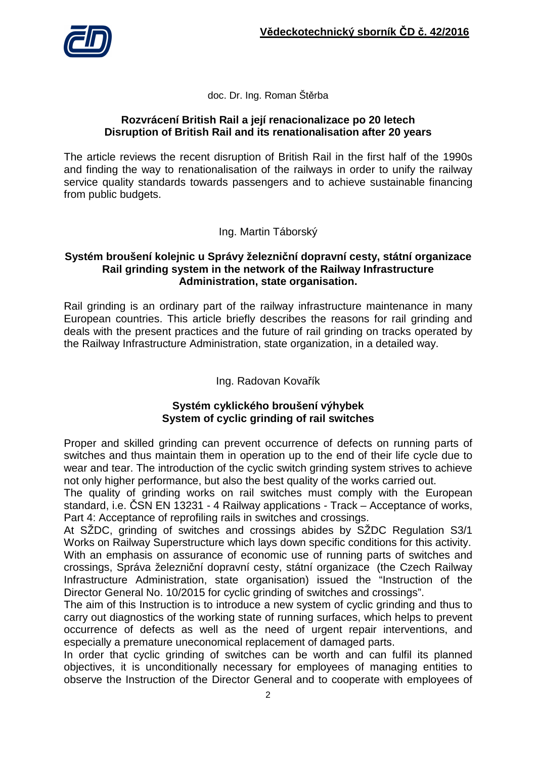

doc. Dr. Ing. Roman Štěrba

### **Rozvrácení British Rail a její renacionalizace po 20 letech Disruption of British Rail and its renationalisation after 20 years**

The article reviews the recent disruption of British Rail in the first half of the 1990s and finding the way to renationalisation of the railways in order to unify the railway service quality standards towards passengers and to achieve sustainable financing from public budgets.

Ing. Martin Táborský

## **Systém broušení kolejnic u Správy železniční dopravní cesty, státní organizace Rail grinding system in the network of the Railway Infrastructure Administration, state organisation.**

Rail grinding is an ordinary part of the railway infrastructure maintenance in many European countries. This article briefly describes the reasons for rail grinding and deals with the present practices and the future of rail grinding on tracks operated by the Railway Infrastructure Administration, state organization, in a detailed way.

# Ing. Radovan Kovařík

# **Systém cyklického broušení výhybek System of cyclic grinding of rail switches**

Proper and skilled grinding can prevent occurrence of defects on running parts of switches and thus maintain them in operation up to the end of their life cycle due to wear and tear. The introduction of the cyclic switch grinding system strives to achieve not only higher performance, but also the best quality of the works carried out.

The quality of grinding works on rail switches must comply with the European standard, i.e. ČSN EN 13231 - 4 Railway applications - Track – Acceptance of works, Part 4: Acceptance of reprofiling rails in switches and crossings.

At SŽDC, grinding of switches and crossings abides by SŽDC Regulation S3/1 Works on Railway Superstructure which lays down specific conditions for this activity. With an emphasis on assurance of economic use of running parts of switches and crossings, Správa železniční dopravní cesty, státní organizace (the Czech Railway Infrastructure Administration, state organisation) issued the "Instruction of the Director General No. 10/2015 for cyclic grinding of switches and crossings".

The aim of this Instruction is to introduce a new system of cyclic grinding and thus to carry out diagnostics of the working state of running surfaces, which helps to prevent occurrence of defects as well as the need of urgent repair interventions, and especially a premature uneconomical replacement of damaged parts.

In order that cyclic grinding of switches can be worth and can fulfil its planned objectives, it is unconditionally necessary for employees of managing entities to observe the Instruction of the Director General and to cooperate with employees of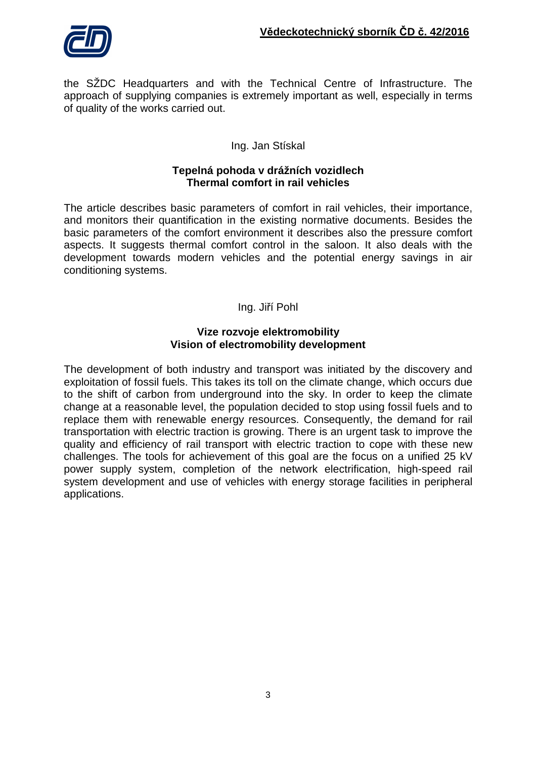

the SŽDC Headquarters and with the Technical Centre of Infrastructure. The approach of supplying companies is extremely important as well, especially in terms of quality of the works carried out.

## Ing. Jan Stískal

### **Tepelná pohoda v drážních vozidlech Thermal comfort in rail vehicles**

The article describes basic parameters of comfort in rail vehicles, their importance, and monitors their quantification in the existing normative documents. Besides the basic parameters of the comfort environment it describes also the pressure comfort aspects. It suggests thermal comfort control in the saloon. It also deals with the development towards modern vehicles and the potential energy savings in air conditioning systems.

### Ing. Jiří Pohl

### **Vize rozvoje elektromobility Vision of electromobility development**

The development of both industry and transport was initiated by the discovery and exploitation of fossil fuels. This takes its toll on the climate change, which occurs due to the shift of carbon from underground into the sky. In order to keep the climate change at a reasonable level, the population decided to stop using fossil fuels and to replace them with renewable energy resources. Consequently, the demand for rail transportation with electric traction is growing. There is an urgent task to improve the quality and efficiency of rail transport with electric traction to cope with these new challenges. The tools for achievement of this goal are the focus on a unified 25 kV power supply system, completion of the network electrification, high-speed rail system development and use of vehicles with energy storage facilities in peripheral applications.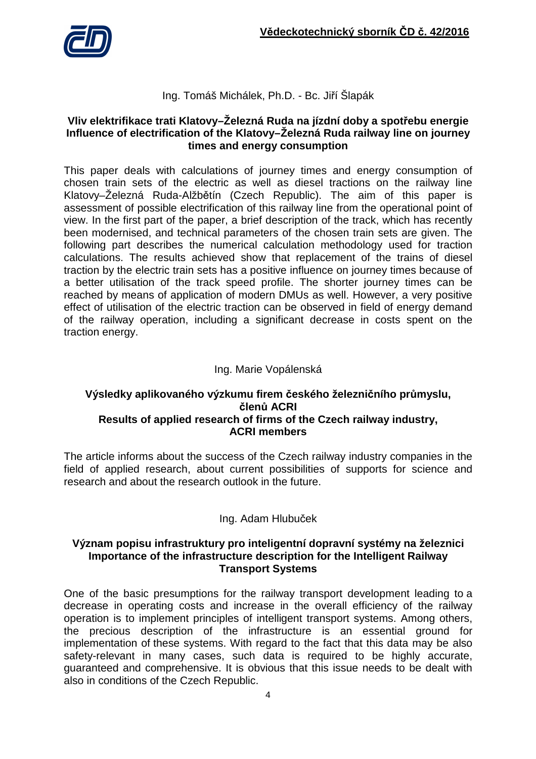

# Ing. Tomáš Michálek, Ph.D. - Bc. Jiří Šlapák

## **Vliv elektrifikace trati Klatovy–Železná Ruda na jízdní doby a spotřebu energie Influence of electrification of the Klatovy–Železná Ruda railway line on journey times and energy consumption**

This paper deals with calculations of journey times and energy consumption of chosen train sets of the electric as well as diesel tractions on the railway line Klatovy–Železná Ruda-Alžbětín (Czech Republic). The aim of this paper is assessment of possible electrification of this railway line from the operational point of view. In the first part of the paper, a brief description of the track, which has recently been modernised, and technical parameters of the chosen train sets are given. The following part describes the numerical calculation methodology used for traction calculations. The results achieved show that replacement of the trains of diesel traction by the electric train sets has a positive influence on journey times because of a better utilisation of the track speed profile. The shorter journey times can be reached by means of application of modern DMUs as well. However, a very positive effect of utilisation of the electric traction can be observed in field of energy demand of the railway operation, including a significant decrease in costs spent on the traction energy.

# Ing. Marie Vopálenská

### **Výsledky aplikovaného výzkumu firem českého železničního průmyslu, členů ACRI Results of applied research of firms of the Czech railway industry, ACRI members**

The article informs about the success of the Czech railway industry companies in the field of applied research, about current possibilities of supports for science and research and about the research outlook in the future.

# Ing. Adam Hlubuček

### **Význam popisu infrastruktury pro inteligentní dopravní systémy na železnici Importance of the infrastructure description for the Intelligent Railway Transport Systems**

One of the basic presumptions for the railway transport development leading to a decrease in operating costs and increase in the overall efficiency of the railway operation is to implement principles of intelligent transport systems. Among others, the precious description of the infrastructure is an essential ground for implementation of these systems. With regard to the fact that this data may be also safety-relevant in many cases, such data is required to be highly accurate, guaranteed and comprehensive. It is obvious that this issue needs to be dealt with also in conditions of the Czech Republic.